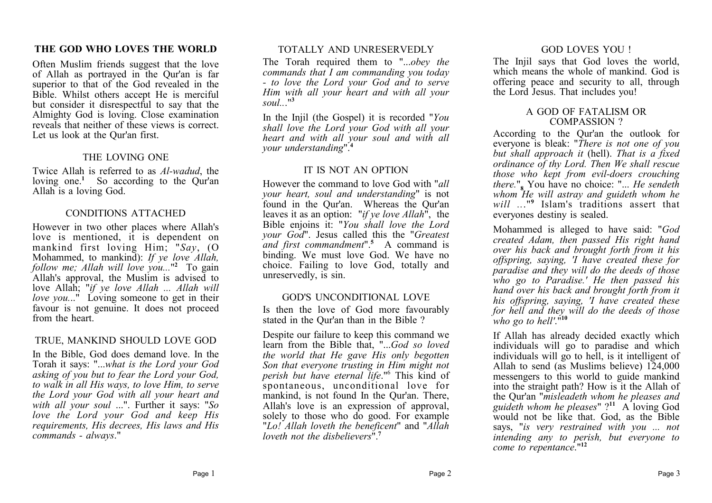# **THE GOD WHO LOVES THE WORLD**

Often Muslim friends suggest that the love of Allah as portrayed in the Qur'an is far superior to that of the God revealed in the Bible. Whilst others accept He is merciful but consider it disrespectful to say that the Almighty God is loving. Close examination reveals that neither of these views is correct. Let us look at the Qur'an first.

### THE LOVING ONE

Twice Allah is referred to as *Al-wadud*, the loving one.<sup>1</sup> So according to the Qur'an Allah is a loving God.

# CONDITIONS ATTACHED

However in two other places where Allah's love is mentioned, it is dependent on mankind first loving Him; "*Say*, (O Mohammed, to mankind): *If ye love Allah, follow me; Allah will love you...*" **2** To gain Allah's approval, the Muslim is advised to love Allah; "*if ye love Allah ... Allah will love you...*" Loving someone to get in their favour is not genuine. It does not proceed from the heart.

# TRUE, MANKIND SHOULD LOVE GOD

In the Bible, God does demand love. In the Torah it says: "...*what is the Lord your God asking of you but to fear the Lord your God, to walk in all His ways, to love Him, to serve the Lord your God with all your heart and with all your soul* ...". Further it says: "*So love the Lord your God and keep His requirements, His decrees, His laws and His commands - always*."

# TOTALLY AND UNRESERVEDLY

The Torah required them to "...*obey the commands that I am commanding you today - to love the Lord your God and to serve Him with all your heart and with all your soul..*."**<sup>3</sup>**

In the Injil (the Gospel) it is recorded "*You shall love the Lord your God with all your heart and with all your soul and with all your understanding*".**<sup>4</sup>**

# IT IS NOT AN OPTION

However the command to love God with "*all your heart, soul and understanding*" is not found in the Qur'an. Whereas the Qur'an leaves it as an option: "*if ye love Allah*", the Bible enjoins it: "*You shall love the Lord your God*". Jesus called this the "*Greatest and first commandment*".**<sup>5</sup>** A command is binding. We must love God. We have no choice. Failing to love God, totally and unreservedly, is sin.

# GOD'S UNCONDITIONAL LOVE

Is then the love of God more favourably stated in the Qur'an than in the Bible ?

Despite our failure to keep this command we learn from the Bible that, "...*God so loved the world that He gave His only begotten Son that everyone trusting in Him might not perish but have eternal life*."<sup>6</sup> This kind of spontaneous, unconditional love for mankind, is not found In the Qur'an. There, Allah's love is an expression of approval, solely to those who do good. For example "*Lo! Allah loveth the beneficent*" and "*Allah loveth not the disbelievers*".**<sup>7</sup>**

# GOD LOVES YOU !

The Injil says that God loves the world, which means the whole of mankind. God is offering peace and security to all, through the Lord Jesus. That includes you!

#### A GOD OF FATALISM OR COMPASSION ?

According to the Qur'an the outlook for everyone is bleak: "*There is not one of you but shall approach it* (hell). *That is a fixed ordinance of thy Lord. Then We shall rescue those who kept from evil-doers crouching there.*"**<sup>8</sup>** You have no choice: "... *He sendeth whom He will astray and guideth whom he will ..*."**<sup>9</sup>** Islam's traditions assert that everyones destiny is sealed.

Mohammed is alleged to have said: "*God created Adam, then passed His right hand over his back and brought forth from it his offspring, saying, 'I have created these for paradise and they will do the deeds of those who go to Paradise.' He then passed his hand over his back and brought forth from it his offspring, saying, 'I have created these for hell and they will do the deeds of those who go to hell'*."**<sup>10</sup>**

If Allah has already decided exactly which individuals will go to paradise and which individuals will go to hell, is it intelligent of Allah to send (as Muslims believe) 124,000 messengers to this world to guide mankind into the straight path? How is it the Allah of the Qur'an "*misleadeth whom he pleases and guideth whom he pleases*" ? **11** A loving God would not be like that. God, as the Bible says, "*is very restrained with you ... not intending any to perish, but everyone to come to repentance*."**<sup>12</sup>**